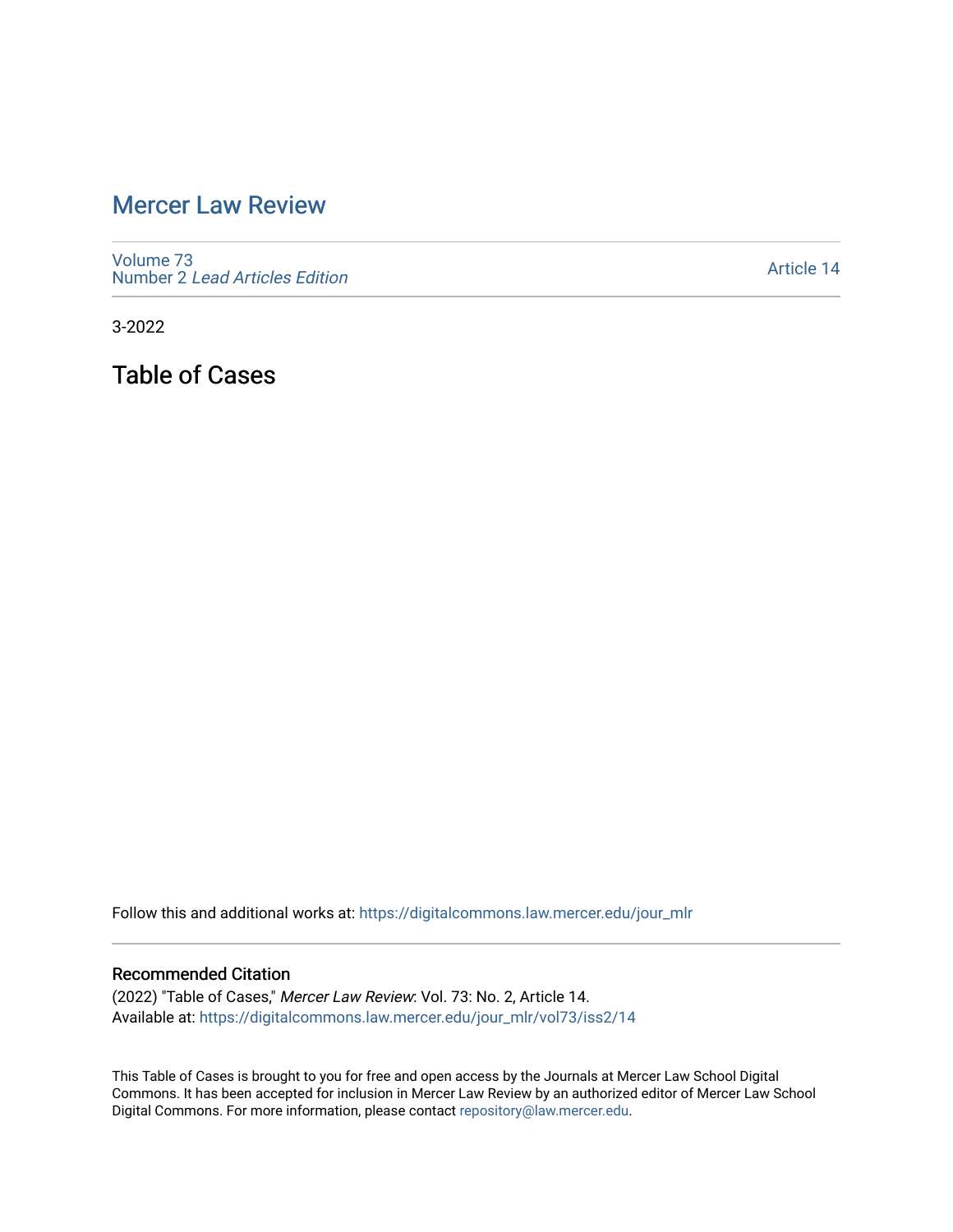## [Mercer Law Review](https://digitalcommons.law.mercer.edu/jour_mlr)

[Volume 73](https://digitalcommons.law.mercer.edu/jour_mlr/vol73) Number 2 [Lead Articles Edition](https://digitalcommons.law.mercer.edu/jour_mlr/vol73/iss2)

[Article 14](https://digitalcommons.law.mercer.edu/jour_mlr/vol73/iss2/14) 

3-2022

Table of Cases

Follow this and additional works at: [https://digitalcommons.law.mercer.edu/jour\\_mlr](https://digitalcommons.law.mercer.edu/jour_mlr?utm_source=digitalcommons.law.mercer.edu%2Fjour_mlr%2Fvol73%2Fiss2%2F14&utm_medium=PDF&utm_campaign=PDFCoverPages)

## Recommended Citation

(2022) "Table of Cases," Mercer Law Review: Vol. 73: No. 2, Article 14. Available at: [https://digitalcommons.law.mercer.edu/jour\\_mlr/vol73/iss2/14](https://digitalcommons.law.mercer.edu/jour_mlr/vol73/iss2/14?utm_source=digitalcommons.law.mercer.edu%2Fjour_mlr%2Fvol73%2Fiss2%2F14&utm_medium=PDF&utm_campaign=PDFCoverPages) 

This Table of Cases is brought to you for free and open access by the Journals at Mercer Law School Digital Commons. It has been accepted for inclusion in Mercer Law Review by an authorized editor of Mercer Law School Digital Commons. For more information, please contact [repository@law.mercer.edu](mailto:repository@law.mercer.edu).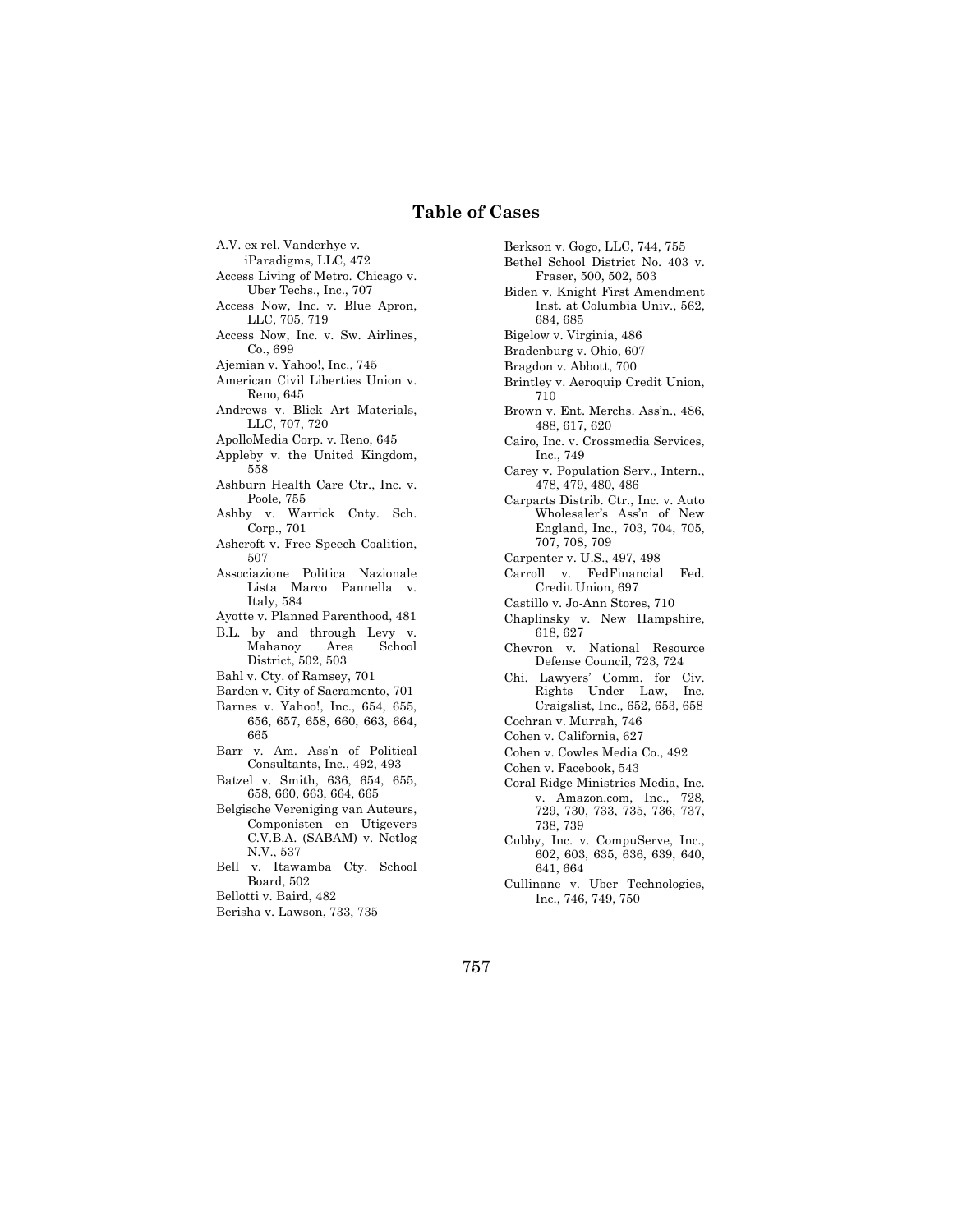## **Table of Cases**

A.V. ex rel. Vanderhye v.

- iParadigms, LLC, 472 Access Living of Metro. Chicago v.
- Uber Techs., Inc., 707
- Access Now, Inc. v. Blue Apron, LLC, 705, 719
- Access Now, Inc. v. Sw. Airlines, Co., 699
- Ajemian v. Yahoo!, Inc., 745
- American Civil Liberties Union v. Reno, 645
- Andrews v. Blick Art Materials, LLC, 707, 720
- ApolloMedia Corp. v. Reno, 645
- Appleby v. the United Kingdom, 558
- Ashburn Health Care Ctr., Inc. v. Poole, 755
- Ashby v. Warrick Cnty. Sch. Corp., 701
- Ashcroft v. Free Speech Coalition, 507
- Associazione Politica Nazionale Lista Marco Pannella v. Italy, 584
- Ayotte v. Planned Parenthood, 481
- B.L. by and through Levy v. Mahanoy Area School District, 502, 503
- Bahl v. Cty. of Ramsey, 701
- Barden v. City of Sacramento, 701
- Barnes v. Yahoo!, Inc., 654, 655, 656, 657, 658, 660, 663, 664, 665
- Barr v. Am. Ass'n of Political Consultants, Inc., 492, 493
- Batzel v. Smith, 636, 654, 655, 658, 660, 663, 664, 665
- Belgische Vereniging van Auteurs, Componisten en Utigevers C.V.B.A. (SABAM) v. Netlog N.V., 537
- Bell v. Itawamba Cty. School Board, 502
- Bellotti v. Baird, 482
- Berisha v. Lawson, 733, 735

Berkson v. Gogo, LLC, 744, 755 Bethel School District No. 403 v. Fraser, 500, 502, 503 Biden v. Knight First Amendment Inst. at Columbia Univ., 562, 684, 685 Bigelow v. Virginia, 486 Bradenburg v. Ohio, 607 Bragdon v. Abbott, 700 Brintley v. Aeroquip Credit Union, 710 Brown v. Ent. Merchs. Ass'n., 486, 488, 617, 620 Cairo, Inc. v. Crossmedia Services, Inc., 749 Carey v. Population Serv., Intern., 478, 479, 480, 486 Carparts Distrib. Ctr., Inc. v. Auto Wholesaler's Ass'n of New England, Inc., 703, 704, 705, 707, 708, 709 Carpenter v. U.S., 497, 498 Carroll v. FedFinancial Fed. Credit Union, 697 Castillo v. Jo-Ann Stores, 710 Chaplinsky v. New Hampshire, 618, 627 Chevron v. National Resource Defense Council, 723, 724 Chi. Lawyers' Comm. for Civ. Rights Under Law, Inc. Craigslist, Inc., 652, 653, 658 Cochran v. Murrah, 746 Cohen v. California, 627 Cohen v. Cowles Media Co., 492 Cohen v. Facebook, 543 Coral Ridge Ministries Media, Inc. v. Amazon.com, Inc., 728, 729, 730, 733, 735, 736, 737, 738, 739 Cubby, Inc. v. CompuServe, Inc., 602, 603, 635, 636, 639, 640, 641, 664

Cullinane v. Uber Technologies, Inc., 746, 749, 750

757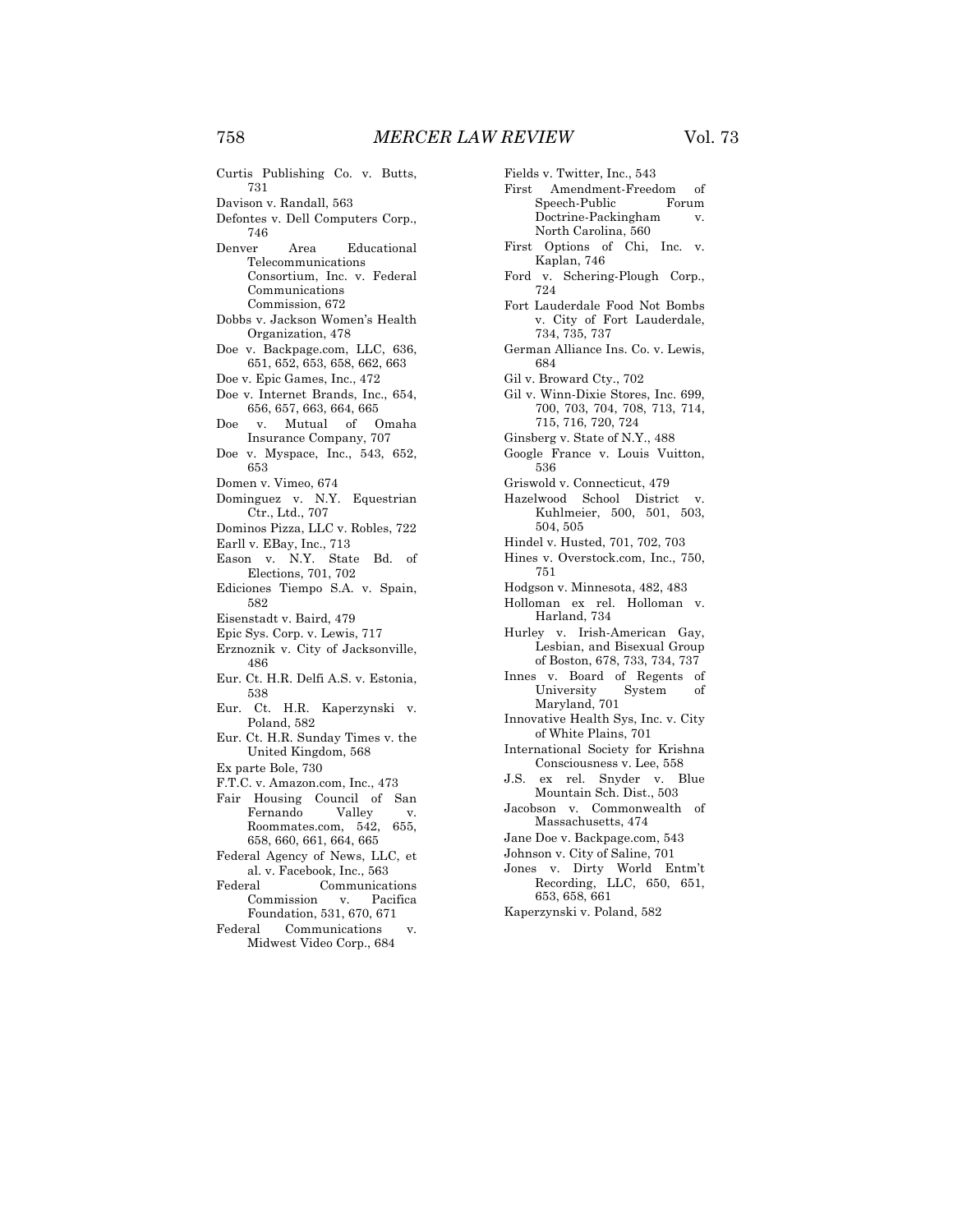Curtis Publishing Co. v. Butts, Davison v. Randall, 563 Defontes v. Dell Computers Corp., Denver Area Educational Telecommunications Consortium, Inc. v. Federal Communications Commission, 672 Dobbs v. Jackson Women's Health Organization, 478 Doe v. Backpage.com, LLC, 636, 651, 652, 653, 658, 662, 663 Doe v. Epic Games, Inc., 472 Doe v. Internet Brands, Inc., 654, 656, 657, 663, 664, 665 Doe v. Mutual of Omaha Insurance Company, 707 Doe v. Myspace, Inc., 543, 652, Domen v. Vimeo, 674 Dominguez v. N.Y. Equestrian Ctr., Ltd., 707 Dominos Pizza, LLC v. Robles, 722 Earll v. EBay, Inc., 713 Eason v. N.Y. State Bd. of Elections, 701, 702

- Ediciones Tiempo S.A. v. Spain, 582
- Eisenstadt v. Baird, 479
- Epic Sys. Corp. v. Lewis, 717
- Erznoznik v. City of Jacksonville, 486
- Eur. Ct. H.R. Delfi A.S. v. Estonia, 538
- Eur. Ct. H.R. Kaperzynski v. Poland, 582
- Eur. Ct. H.R. Sunday Times v. the United Kingdom, 568
- Ex parte Bole, 730
- F.T.C. v. Amazon.com, Inc., 473
- Fair Housing Council of San<br>Fernando Valley v. Fernando Valley v. Roommates.com, 542, 655, 658, 660, 661, 664, 665
- Federal Agency of News, LLC, et al. v. Facebook, Inc., 563
- Federal Communications Commission v. Pacifica Foundation, 531, 670, 671
- Federal Communications v. Midwest Video Corp., 684

Fields v. Twitter, Inc., 543 First Amendment-Freedom of Speech-Public Forum Doctrine-Packingham v. North Carolina, 560 First Options of Chi, Inc. v. Kaplan, 746 Ford v. Schering-Plough Corp., 724 Fort Lauderdale Food Not Bombs v. City of Fort Lauderdale, 734, 735, 737 German Alliance Ins. Co. v. Lewis, 684 Gil v. Broward Cty., 702 Gil v. Winn-Dixie Stores, Inc. 699, 700, 703, 704, 708, 713, 714, 715, 716, 720, 724 Ginsberg v. State of N.Y., 488 Google France v. Louis Vuitton, 536 Griswold v. Connecticut, 479 Hazelwood School District v. Kuhlmeier, 500, 501, 503, 504, 505 Hindel v. Husted, 701, 702, 703 Hines v. Overstock.com, Inc., 750, 751 Hodgson v. Minnesota, 482, 483 Holloman ex rel. Holloman v. Harland, 734 Hurley v. Irish-American Gay, Lesbian, and Bisexual Group of Boston, 678, 733, 734, 737 Innes v. Board of Regents of University System of Maryland, 701 Innovative Health Sys, Inc. v. City of White Plains, 701 International Society for Krishna Consciousness v. Lee, 558 J.S. ex rel. Snyder v. Blue Mountain Sch. Dist., 503 Jacobson v. Commonwealth of Massachusetts, 474 Jane Doe v. Backpage.com, 543 Johnson v. City of Saline, 701 Jones v. Dirty World Entm't Recording, LLC, 650, 651, 653, 658, 661 Kaperzynski v. Poland, 582

731

746

653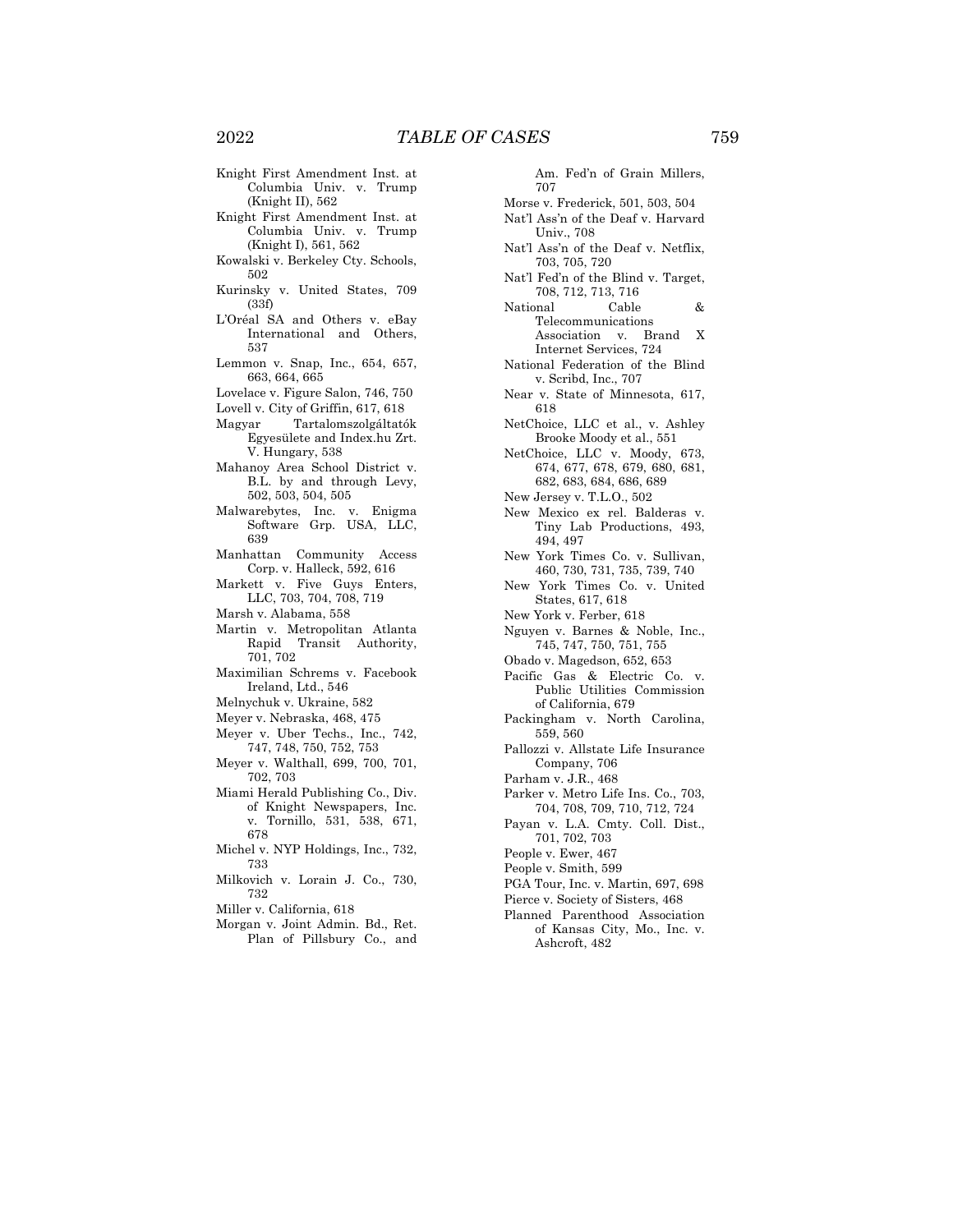- Knight First Amendment Inst. at Columbia Univ. v. Trump (Knight II), 562
- Knight First Amendment Inst. at Columbia Univ. v. Trump (Knight I), 561, 562
- Kowalski v. Berkeley Cty. Schools, 502
- Kurinsky v. United States, 709 (33f)
- L'Oréal SA and Others v. eBay International and Others, 537
- Lemmon v. Snap, Inc., 654, 657, 663, 664, 665
- Lovelace v. Figure Salon, 746, 750
- Lovell v. City of Griffin, 617, 618
- Magyar Tartalomszolgáltatók Egyesülete and Index.hu Zrt. V. Hungary, 538
- Mahanoy Area School District v. B.L. by and through Levy, 502, 503, 504, 505
- Malwarebytes, Inc. v. Enigma Software Grp. USA, LLC, 639
- Manhattan Community Access Corp. v. Halleck, 592, 616
- Markett v. Five Guys Enters, LLC, 703, 704, 708, 719
- Marsh v. Alabama, 558
- Martin v. Metropolitan Atlanta Rapid Transit Authority, 701, 702
- Maximilian Schrems v. Facebook Ireland, Ltd., 546
- Melnychuk v. Ukraine, 582
- Meyer v. Nebraska, 468, 475
- Meyer v. Uber Techs., Inc., 742, 747, 748, 750, 752, 753
- Meyer v. Walthall, 699, 700, 701, 702, 703
- Miami Herald Publishing Co., Div. of Knight Newspapers, Inc. v. Tornillo, 531, 538, 671, 678
- Michel v. NYP Holdings, Inc., 732, 733
- Milkovich v. Lorain J. Co., 730, 732
- Miller v. California, 618
- Morgan v. Joint Admin. Bd., Ret. Plan of Pillsbury Co., and

Am. Fed'n of Grain Millers, 707 Morse v. Frederick, 501, 503, 504 Nat'l Ass'n of the Deaf v. Harvard Univ., 708 Nat'l Ass'n of the Deaf v. Netflix, 703, 705, 720 Nat'l Fed'n of the Blind v. Target, 708, 712, 713, 716 National Cable & Telecommunications Association v. Brand X Internet Services, 724 National Federation of the Blind v. Scribd, Inc., 707 Near v. State of Minnesota, 617, 618 NetChoice, LLC et al., v. Ashley Brooke Moody et al., 551 NetChoice, LLC v. Moody, 673, 674, 677, 678, 679, 680, 681, 682, 683, 684, 686, 689 New Jersey v. T.L.O., 502 New Mexico ex rel. Balderas v. Tiny Lab Productions, 493, 494, 497 New York Times Co. v. Sullivan, 460, 730, 731, 735, 739, 740 New York Times Co. v. United States, 617, 618 New York v. Ferber, 618 Nguyen v. Barnes & Noble, Inc., 745, 747, 750, 751, 755 Obado v. Magedson, 652, 653 Pacific Gas & Electric Co. v. Public Utilities Commission of California, 679 Packingham v. North Carolina, 559, 560 Pallozzi v. Allstate Life Insurance Company, 706 Parham v. J.R., 468 Parker v. Metro Life Ins. Co., 703, 704, 708, 709, 710, 712, 724 Payan v. L.A. Cmty. Coll. Dist., 701, 702, 703 People v. Ewer, 467 People v. Smith, 599 PGA Tour, Inc. v. Martin, 697, 698 Pierce v. Society of Sisters, 468 Planned Parenthood Association of Kansas City, Mo., Inc. v.

Ashcroft, 482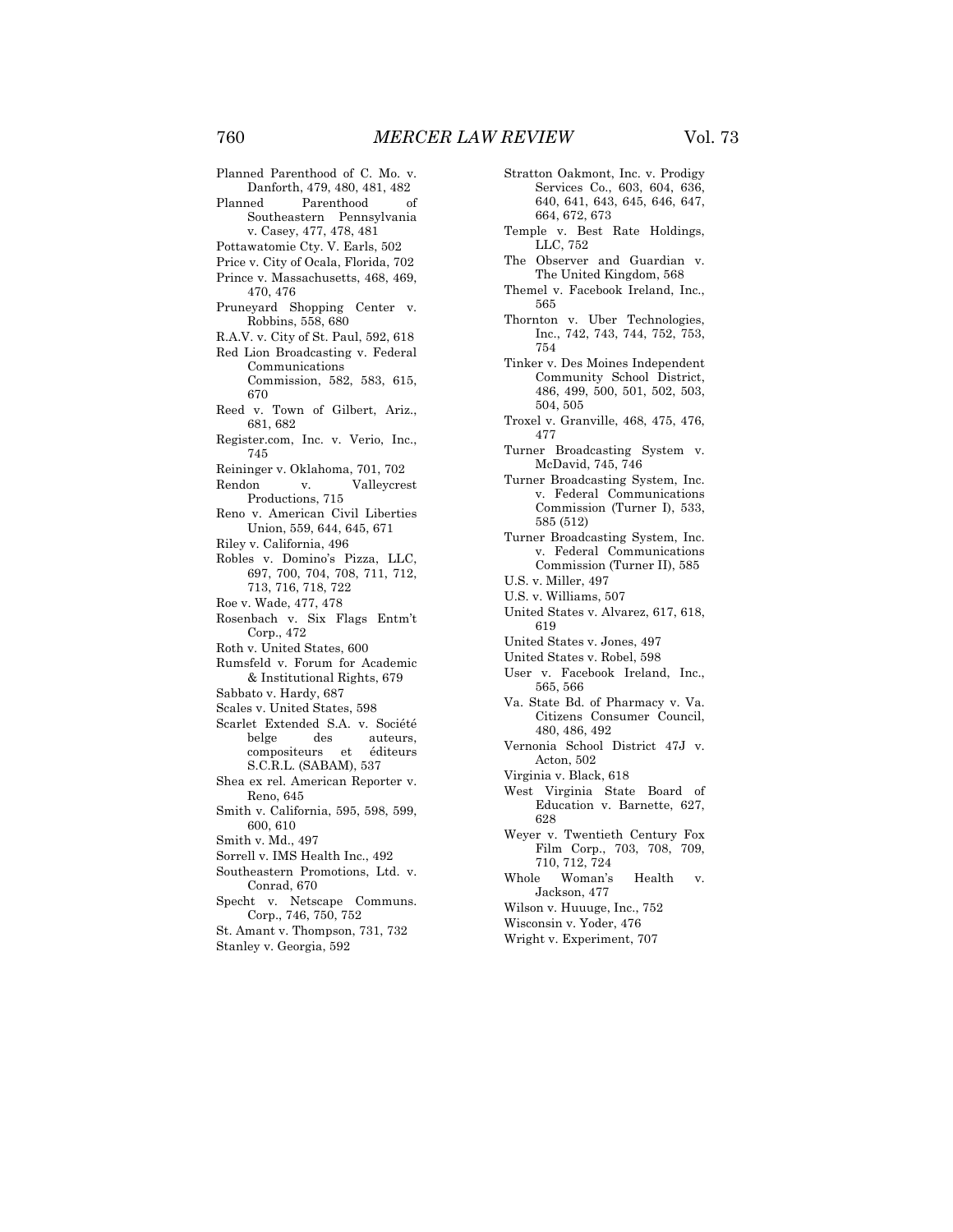- Planned Parenthood of C. Mo. v. Danforth, 479, 480, 481, 482 Planned Parenthood of Southeastern Pennsylvania v. Casey, 477, 478, 481 Pottawatomie Cty. V. Earls, 502 Price v. City of Ocala, Florida, 702 Prince v. Massachusetts, 468, 469, 470, 476 Pruneyard Shopping Center v. Robbins, 558, 680 R.A.V. v. City of St. Paul, 592, 618 Red Lion Broadcasting v. Federal Communications Commission, 582, 583, 615, 670 Reed v. Town of Gilbert, Ariz., 681, 682 Register.com, Inc. v. Verio, Inc., 745 Reininger v. Oklahoma, 701, 702 Rendon v. Valleycrest Productions, 715 Reno v. American Civil Liberties Union, 559, 644, 645, 671 Riley v. California, 496 Robles v. Domino's Pizza, LLC, 697, 700, 704, 708, 711, 712, 713, 716, 718, 722 Roe v. Wade, 477, 478 Rosenbach v. Six Flags Entm't Corp., 472 Roth v. United States, 600 Rumsfeld v. Forum for Academic & Institutional Rights, 679 Sabbato v. Hardy, 687 Scales v. United States, 598 Scarlet Extended S.A. v. Société belge des auteurs,<br>compositeurs et éditeurs compositeurs et S.C.R.L. (SABAM), 537 Shea ex rel. American Reporter v. Reno, 645 Smith v. California, 595, 598, 599, 600, 610 Smith v. Md., 497 Sorrell v. IMS Health Inc., 492 Southeastern Promotions, Ltd. v. Conrad, 670 Specht v. Netscape Communs.
- Corp., 746, 750, 752
- St. Amant v. Thompson, 731, 732 Stanley v. Georgia, 592
- Stratton Oakmont, Inc. v. Prodigy Services Co., 603, 604, 636, 640, 641, 643, 645, 646, 647, 664, 672, 673
- Temple v. Best Rate Holdings, LLC, 752
- The Observer and Guardian v. The United Kingdom, 568
- Themel v. Facebook Ireland, Inc., 565
- Thornton v. Uber Technologies, Inc., 742, 743, 744, 752, 753, 754
- Tinker v. Des Moines Independent Community School District, 486, 499, 500, 501, 502, 503, 504, 505
- Troxel v. Granville, 468, 475, 476, 477
- Turner Broadcasting System v. McDavid, 745, 746
- Turner Broadcasting System, Inc. v. Federal Communications Commission (Turner I), 533, 585 (512)
- Turner Broadcasting System, Inc. v. Federal Communications Commission (Turner II), 585
- U.S. v. Miller, 497
- U.S. v. Williams, 507
- United States v. Alvarez, 617, 618, 619
- United States v. Jones, 497
- United States v. Robel, 598
- User v. Facebook Ireland, Inc., 565, 566
- Va. State Bd. of Pharmacy v. Va. Citizens Consumer Council, 480, 486, 492
- Vernonia School District 47J v. Acton, 502
- Virginia v. Black, 618
- West Virginia State Board of Education v. Barnette, 627, 628
- Weyer v. Twentieth Century Fox Film Corp., 703, 708, 709, 710, 712, 724
- Whole Woman's Health v. Jackson, 477
- Wilson v. Huuuge, Inc., 752
- Wisconsin v. Yoder, 476
- Wright v. Experiment, 707